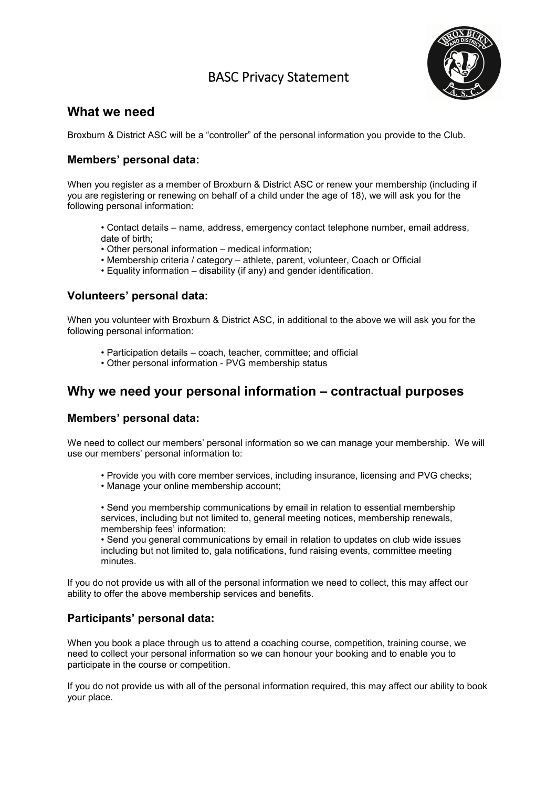# BASC Privacy Statement



### **What we need**

Broxburn & District ASC will be a "controller" of the personal information you provide to the Club.

### **Members' personal data:**

When you register as a member of Broxburn & District ASC or renew your membership (including if you are registering or renewing on behalf of a child under the age of 18), we will ask you for the following personal information:

- Contact details name, address, emergency contact telephone number, email address, date of birth;
- Other personal information medical information;
- Membership criteria / category athlete, parent, volunteer, Coach or Official
- Equality information disability (if any) and gender identification.

#### **Volunteers' personal data:**

When you volunteer with Broxburn & District ASC, in additional to the above we will ask you for the following personal information:

- Participation details coach, teacher, committee; and official
- Other personal information PVG membership status

## **Why we need your personal information – contractual purposes**

#### **Members' personal data:**

We need to collect our members' personal information so we can manage your membership. We will use our members' personal information to:

- Provide you with core member services, including insurance, licensing and PVG checks;
- Manage your online membership account;

• Send you membership communications by email in relation to essential membership services, including but not limited to, general meeting notices, membership renewals, membership fees' information;

• Send you general communications by email in relation to updates on club wide issues including but not limited to, gala notifications, fund raising events, committee meeting minutes.

If you do not provide us with all of the personal information we need to collect, this may affect our ability to offer the above membership services and benefits.

### **Participants' personal data:**

When you book a place through us to attend a coaching course, competition, training course, we need to collect your personal information so we can honour your booking and to enable you to participate in the course or competition.

If you do not provide us with all of the personal information required, this may affect our ability to book your place.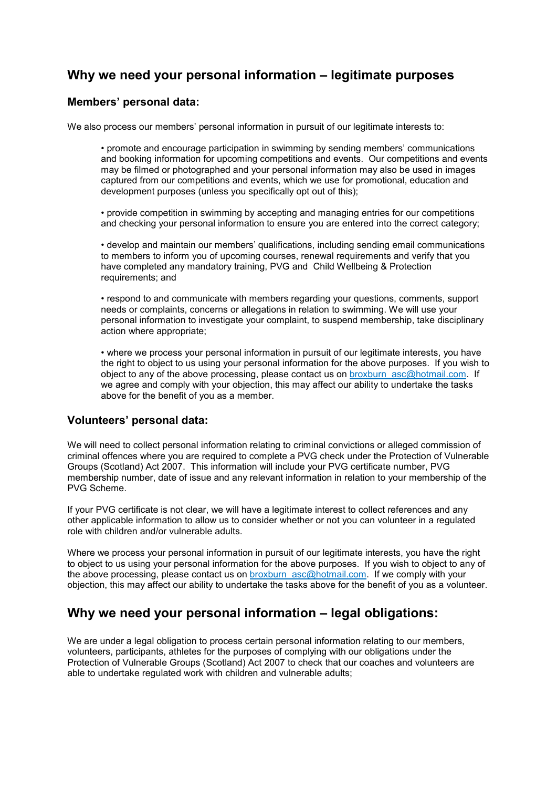## **Why we need your personal information – legitimate purposes**

#### **Members' personal data:**

We also process our members' personal information in pursuit of our legitimate interests to:

• promote and encourage participation in swimming by sending members' communications and booking information for upcoming competitions and events. Our competitions and events may be filmed or photographed and your personal information may also be used in images captured from our competitions and events, which we use for promotional, education and development purposes (unless you specifically opt out of this);

• provide competition in swimming by accepting and managing entries for our competitions and checking your personal information to ensure you are entered into the correct category;

• develop and maintain our members' qualifications, including sending email communications to members to inform you of upcoming courses, renewal requirements and verify that you have completed any mandatory training, PVG and Child Wellbeing & Protection requirements; and

• respond to and communicate with members regarding your questions, comments, support needs or complaints, concerns or allegations in relation to swimming. We will use your personal information to investigate your complaint, to suspend membership, take disciplinary action where appropriate;

• where we process your personal information in pursuit of our legitimate interests, you have the right to object to us using your personal information for the above purposes. If you wish to object to any of the above processing, please contact us on broxburn\_asc@hotmail.com. If we agree and comply with your objection, this may affect our ability to undertake the tasks above for the benefit of you as a member.

#### **Volunteers' personal data:**

We will need to collect personal information relating to criminal convictions or alleged commission of criminal offences where you are required to complete a PVG check under the Protection of Vulnerable Groups (Scotland) Act 2007. This information will include your PVG certificate number, PVG membership number, date of issue and any relevant information in relation to your membership of the PVG Scheme.

If your PVG certificate is not clear, we will have a legitimate interest to collect references and any other applicable information to allow us to consider whether or not you can volunteer in a regulated role with children and/or vulnerable adults.

Where we process your personal information in pursuit of our legitimate interests, you have the right to object to us using your personal information for the above purposes. If you wish to object to any of the above processing, please contact us on broxburn\_asc@hotmail.com. If we comply with your objection, this may affect our ability to undertake the tasks above for the benefit of you as a volunteer.

## **Why we need your personal information – legal obligations:**

We are under a legal obligation to process certain personal information relating to our members. volunteers, participants, athletes for the purposes of complying with our obligations under the Protection of Vulnerable Groups (Scotland) Act 2007 to check that our coaches and volunteers are able to undertake regulated work with children and vulnerable adults;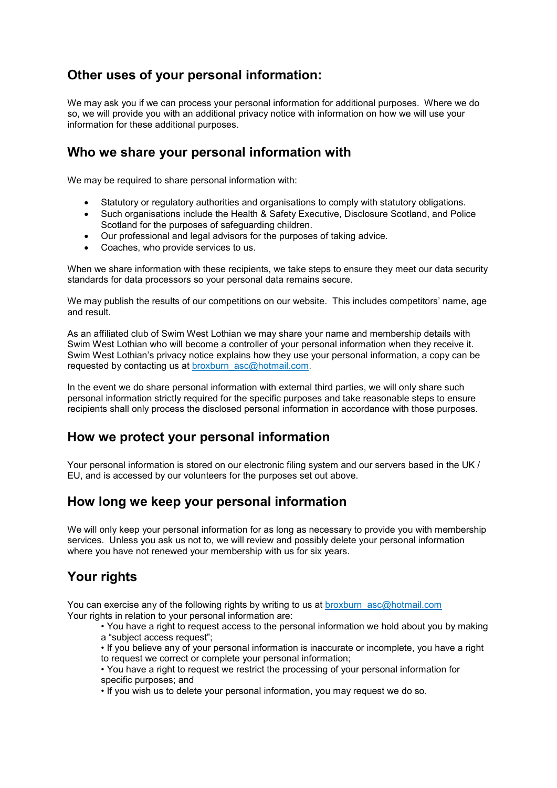# **Other uses of your personal information:**

We may ask you if we can process your personal information for additional purposes. Where we do so, we will provide you with an additional privacy notice with information on how we will use your information for these additional purposes.

## **Who we share your personal information with**

We may be required to share personal information with:

- Statutory or regulatory authorities and organisations to comply with statutory obligations.
- Such organisations include the Health & Safety Executive, Disclosure Scotland, and Police Scotland for the purposes of safeguarding children.
- Our professional and legal advisors for the purposes of taking advice.
- Coaches, who provide services to us.

When we share information with these recipients, we take steps to ensure they meet our data security standards for data processors so your personal data remains secure.

We may publish the results of our competitions on our website. This includes competitors' name, age and result.

As an affiliated club of Swim West Lothian we may share your name and membership details with Swim West Lothian who will become a controller of your personal information when they receive it. Swim West Lothian's privacy notice explains how they use your personal information, a copy can be requested by contacting us at broxburn\_asc@hotmail.com.

In the event we do share personal information with external third parties, we will only share such personal information strictly required for the specific purposes and take reasonable steps to ensure recipients shall only process the disclosed personal information in accordance with those purposes.

## **How we protect your personal information**

Your personal information is stored on our electronic filing system and our servers based in the UK / EU, and is accessed by our volunteers for the purposes set out above.

## **How long we keep your personal information**

We will only keep your personal information for as long as necessary to provide you with membership services. Unless you ask us not to, we will review and possibly delete your personal information where you have not renewed your membership with us for six years.

## **Your rights**

You can exercise any of the following rights by writing to us at broxburn asc@hotmail.com Your rights in relation to your personal information are:

• You have a right to request access to the personal information we hold about you by making a "subject access request";

• If you believe any of your personal information is inaccurate or incomplete, you have a right to request we correct or complete your personal information;

• You have a right to request we restrict the processing of your personal information for specific purposes; and

• If you wish us to delete your personal information, you may request we do so.